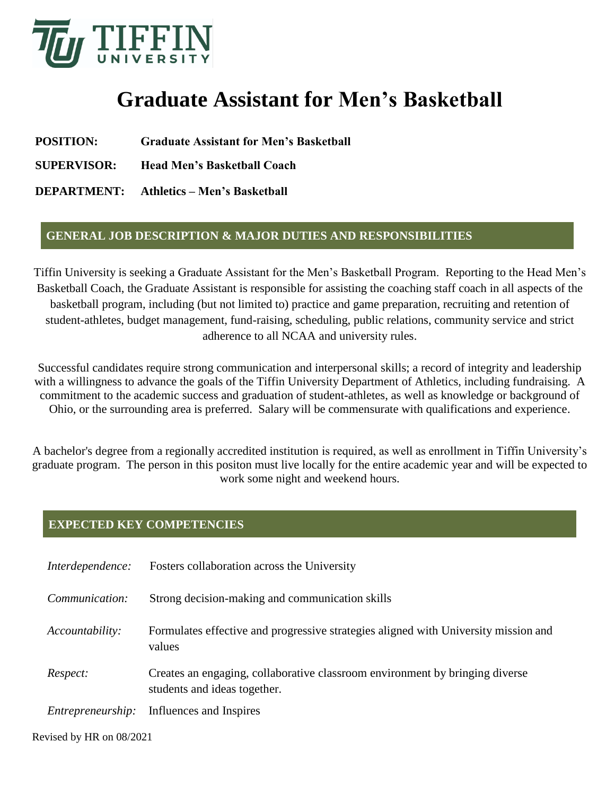

## **Graduate Assistant for Men's Basketball**

- **POSITION: Graduate Assistant for Men's Basketball**
- **SUPERVISOR: Head Men's Basketball Coach**

**DEPARTMENT: Athletics – Men's Basketball**

## **GENERAL JOB DESCRIPTION & MAJOR DUTIES AND RESPONSIBILITIES**

Tiffin University is seeking a Graduate Assistant for the Men's Basketball Program. Reporting to the Head Men's Basketball Coach, the Graduate Assistant is responsible for assisting the coaching staff coach in all aspects of the basketball program, including (but not limited to) practice and game preparation, recruiting and retention of student-athletes, budget management, fund-raising, scheduling, public relations, community service and strict adherence to all NCAA and university rules.

Successful candidates require strong communication and interpersonal skills; a record of integrity and leadership with a willingness to advance the goals of the Tiffin University Department of Athletics, including fundraising. A commitment to the academic success and graduation of student-athletes, as well as knowledge or background of Ohio, or the surrounding area is preferred. Salary will be commensurate with qualifications and experience.

A bachelor's degree from a regionally accredited institution is required, as well as enrollment in Tiffin University's graduate program. The person in this positon must live locally for the entire academic year and will be expected to work some night and weekend hours.

## **EXPECTED KEY COMPETENCIES**

| Interdependence:         | Fosters collaboration across the University                                                                  |
|--------------------------|--------------------------------------------------------------------------------------------------------------|
| Communication:           | Strong decision-making and communication skills                                                              |
| Accountability:          | Formulates effective and progressive strategies aligned with University mission and<br>values                |
| Respect:                 | Creates an engaging, collaborative classroom environment by bringing diverse<br>students and ideas together. |
| <i>Entrepreneurship:</i> | Influences and Inspires                                                                                      |

Revised by HR on 08/2021